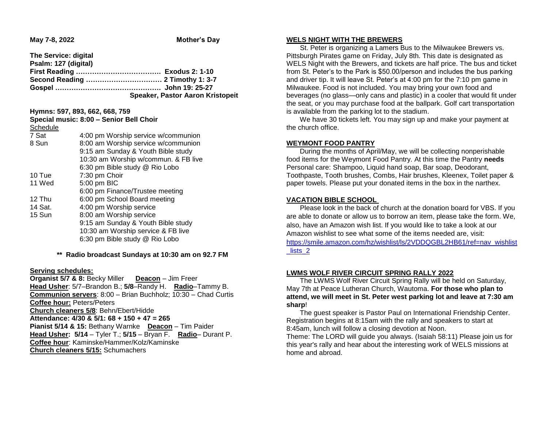**May 7-8, 2022 Mother's Day** 

| The Service: digital |                                         |
|----------------------|-----------------------------------------|
| Psalm: 127 (digital) |                                         |
|                      |                                         |
|                      |                                         |
|                      |                                         |
|                      | <b>Speaker, Pastor Aaron Kristopeit</b> |

**Hymns: 597, 893, 662, 668, 759 Special music: 8:00 – Senior Bell Choir**

| Special Inusic. 6.00 – Senior Bell Choli |                                      |
|------------------------------------------|--------------------------------------|
| Schedule                                 |                                      |
| 7 Sat                                    | 4:00 pm Worship service w/communion  |
| 8 Sun                                    | 8:00 am Worship service w/communion  |
|                                          | 9:15 am Sunday & Youth Bible study   |
|                                          | 10:30 am Worship w/commun. & FB live |
|                                          | 6:30 pm Bible study @ Rio Lobo       |
| 10 Tue                                   | 7:30 pm Choir                        |
| 11 Wed                                   | 5:00 pm BIC                          |
|                                          | 6:00 pm Finance/Trustee meeting      |
| 12 Thu                                   | 6:00 pm School Board meeting         |
| 14 Sat.                                  | 4:00 pm Worship service              |
| 15 Sun                                   | 8:00 am Worship service              |
|                                          | 9:15 am Sunday & Youth Bible study   |
|                                          | 10:30 am Worship service & FB live   |
|                                          | 6:30 pm Bible study @ Rio Lobo       |
|                                          |                                      |

## **\*\* Radio broadcast Sundays at 10:30 am on 92.7 FM**

#### **Serving schedules:**

**Organist 5/7 & 8:** Becky Miller **Deacon** – Jim Freer **Head Usher**: 5/7–Brandon B.; **5/8**–Randy H. **Radio**–Tammy B. **Communion servers**: 8:00 – Brian Buchholz; 10:30 – Chad Curtis **Coffee hour:** Peters/Peters **Church cleaners 5/8**: Behn/Ebert/Hidde **Attendance: 4/30 & 5/1: 68 + 150 + 47 = 265 Pianist 5/14 & 15:** Bethany Warnke **Deacon** – Tim Paider **Head Usher: 5/14** – Tyler T.; **5/15** – Bryan F. **Radio**– Durant P. **Coffee hour**: Kaminske/Hammer/Kolz/Kaminske **Church cleaners 5/15:** Schumachers

### **WELS NIGHT WITH THE BREWERS**

 St. Peter is organizing a Lamers Bus to the Milwaukee Brewers vs. Pittsburgh Pirates game on Friday, July 8th. This date is designated as WELS Night with the Brewers, and tickets are half price. The bus and ticket from St. Peter's to the Park is \$50.00/person and includes the bus parking and driver tip. It will leave St. Peter's at 4:00 pm for the 7:10 pm game in Milwaukee. Food is not included. You may bring your own food and beverages (no glass—only cans and plastic) in a cooler that would fit under the seat, or you may purchase food at the ballpark. Golf cart transportation is available from the parking lot to the stadium.

 We have 30 tickets left. You may sign up and make your payment at the church office.

## **WEYMONT FOOD PANTRY**

 During the months of April/May, we will be collecting nonperishable food items for the Weymont Food Pantry. At this time the Pantry **needs**  Personal care: Shampoo, Liquid hand soap, Bar soap, Deodorant, Toothpaste, Tooth brushes, Combs, Hair brushes, Kleenex, Toilet paper & paper towels. Please put your donated items in the box in the narthex.

## **VACATION BIBLE SCHOOL**

 Please look in the back of church at the donation board for VBS. If you are able to donate or allow us to borrow an item, please take the form. We, also, have an Amazon wish list. If you would like to take a look at our Amazon wishlist to see what some of the items needed are, visit: [https://smile.amazon.com/hz/wishlist/ls/2VDDQGBL2HB61/ref=nav\\_wishlist](https://smile.amazon.com/hz/wishlist/ls/2VDDQGBL2HB61/ref=nav_wishlist_lists_2) lists 2

## **LWMS WOLF RIVER CIRCUIT SPRING RALLY 2022**

 The LWMS Wolf River Circuit Spring Rally will be held on Saturday, May 7th at Peace Lutheran Church, Wautoma. **For those who plan to attend, we will meet in St. Peter west parking lot and leave at 7:30 am sharp**!

 The guest speaker is Pastor Paul on International Friendship Center. Registration begins at 8:15am with the rally and speakers to start at 8:45am, lunch will follow a closing devotion at Noon.

Theme: The LORD will guide you always. (Isaiah 58:11) Please join us for this year's rally and hear about the interesting work of WELS missions at home and abroad.